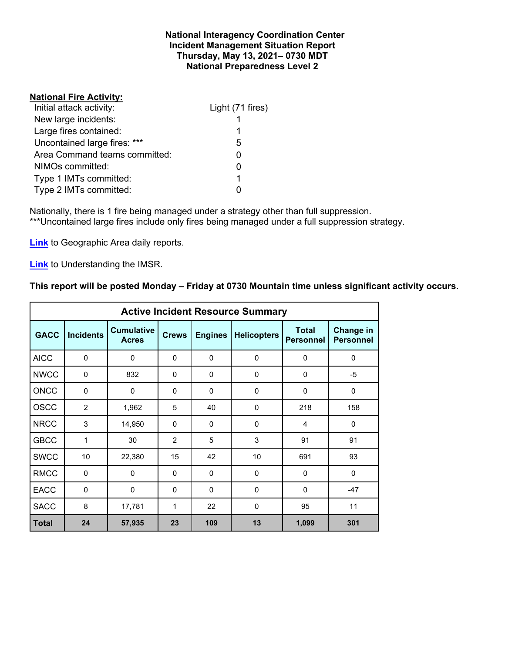### **National Interagency Coordination Center Incident Management Situation Report Thursday, May 13, 2021– 0730 MDT National Preparedness Level 2**

# **National Fire Activity:**

| Initial attack activity:      | Light (71 fires) |
|-------------------------------|------------------|
| New large incidents:          |                  |
| Large fires contained:        | 1                |
| Uncontained large fires: ***  | 5                |
| Area Command teams committed: | ი                |
| NIMOs committed:              |                  |
| Type 1 IMTs committed:        | 1                |
| Type 2 IMTs committed:        |                  |

Nationally, there is 1 fire being managed under a strategy other than full suppression. \*\*\*Uncontained large fires include only fires being managed under a full suppression strategy.

**[Link](http://www.nifc.gov/nicc/predictive/statelinks.htm)** to Geographic Area daily reports.

**[Link](https://www.predictiveservices.nifc.gov/intelligence/Understanding%20the%20IMSR%202019.pdf)** to Understanding the IMSR.

# **This report will be posted Monday – Friday at 0730 Mountain time unless significant activity occurs.**

|              | <b>Active Incident Resource Summary</b> |                                   |              |                                      |             |                                  |                               |  |  |  |
|--------------|-----------------------------------------|-----------------------------------|--------------|--------------------------------------|-------------|----------------------------------|-------------------------------|--|--|--|
| <b>GACC</b>  | <b>Incidents</b>                        | <b>Cumulative</b><br><b>Acres</b> | <b>Crews</b> | <b>Engines</b><br><b>Helicopters</b> |             | <b>Total</b><br><b>Personnel</b> | Change in<br><b>Personnel</b> |  |  |  |
| <b>AICC</b>  | $\mathbf 0$                             | 0                                 | 0            | $\Omega$                             | 0           | 0                                | $\mathbf 0$                   |  |  |  |
| <b>NWCC</b>  | 0                                       | 832                               | $\Omega$     | 0                                    | 0           | 0                                | -5                            |  |  |  |
| <b>ONCC</b>  | $\Omega$                                | $\Omega$                          | $\Omega$     | $\Omega$                             | $\Omega$    | $\mathbf{0}$                     | $\Omega$                      |  |  |  |
| <b>OSCC</b>  | 2                                       | 1,962                             | 5            | 40                                   | $\mathbf 0$ | 218                              | 158                           |  |  |  |
| <b>NRCC</b>  | 3                                       | 14,950                            | $\Omega$     | $\Omega$                             | $\Omega$    | 4                                | $\mathbf 0$                   |  |  |  |
| <b>GBCC</b>  | 1                                       | 30                                | 2            | 5                                    | 3           | 91                               | 91                            |  |  |  |
| <b>SWCC</b>  | 10                                      | 22,380                            | 15           | 42                                   | 10          | 691                              | 93                            |  |  |  |
| <b>RMCC</b>  | $\Omega$                                | $\Omega$                          | $\Omega$     | $\Omega$                             | $\Omega$    | $\Omega$                         | $\Omega$                      |  |  |  |
| <b>EACC</b>  | $\mathbf 0$                             | 0                                 | 0            | $\mathbf 0$                          | $\mathbf 0$ | 0                                | $-47$                         |  |  |  |
| <b>SACC</b>  | 8                                       | 17,781                            | $\mathbf{1}$ | 22                                   | $\Omega$    | 95                               | 11                            |  |  |  |
| <b>Total</b> | 24                                      | 57,935                            | 23           | 109                                  | 13          | 1,099                            | 301                           |  |  |  |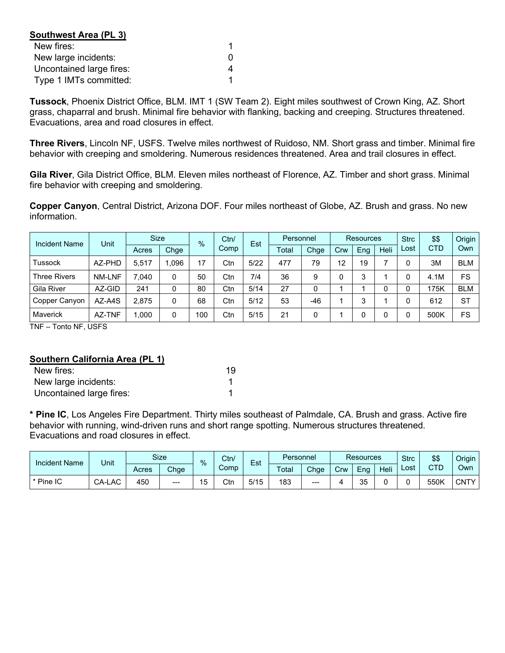| Southwest Area (PL 3)    |   |
|--------------------------|---|
| New fires:               |   |
| New large incidents:     | O |
| Uncontained large fires: | 4 |
| Type 1 IMTs committed:   |   |

**Tussock**, Phoenix District Office, BLM. IMT 1 (SW Team 2). Eight miles southwest of Crown King, AZ. Short grass, chaparral and brush. Minimal fire behavior with flanking, backing and creeping. Structures threatened. Evacuations, area and road closures in effect.

**Three Rivers**, Lincoln NF, USFS. Twelve miles northwest of Ruidoso, NM. Short grass and timber. Minimal fire behavior with creeping and smoldering. Numerous residences threatened. Area and trail closures in effect.

**Gila River**, Gila District Office, BLM. Eleven miles northeast of Florence, AZ. Timber and short grass. Minimal fire behavior with creeping and smoldering.

**Copper Canyon**, Central District, Arizona DOF. Four miles northeast of Globe, AZ. Brush and grass. No new information.

| <b>Incident Name</b> | Unit          | <b>Size</b> |      | Ctn/<br>$\%$ | Est  |      | Personnel |      | <b>Resources</b> |     |      | \$\$ | Origin     |            |
|----------------------|---------------|-------------|------|--------------|------|------|-----------|------|------------------|-----|------|------|------------|------------|
|                      |               | Acres       | Chge |              | Comp |      | Total     | Chge | Crw              | Eng | Heli | Lost | <b>CTD</b> |            |
| <b>Tussock</b>       | AZ-PHD        | 5,517       | .096 | 17           | Ctn  | 5/22 | 477       | 79   | 12               | 19  |      |      | 3M         | <b>BLM</b> |
| <b>Three Rivers</b>  | <b>NM-LNF</b> | 7.040       | 0    | 50           | Ctn  | 7/4  | 36        | 9    |                  | 3   |      |      | 4.1M       | FS         |
| Gila River           | AZ-GID        | 241         |      | 80           | Ctn  | 5/14 | 27        | 0    |                  |     |      |      | 175K       | <b>BLM</b> |
| Copper Canyon        | AZ-A4S        | 2,875       | 0    | 68           | Ctn  | 5/12 | 53        | -46  |                  | 3   |      |      | 612        | <b>ST</b>  |
| Maverick             | AZ-TNF        | 1,000       | 0    | 100          | Ctn  | 5/15 | 21        | 0    |                  |     |      |      | 500K       | FS         |

TNF – Tonto NF, USFS

#### **Southern California Area (PL 1)**

| New fires:               | 19 |
|--------------------------|----|
| New large incidents:     |    |
| Uncontained large fires: |    |

**\* Pine IC**, Los Angeles Fire Department. Thirty miles southeast of Palmdale, CA. Brush and grass. Active fire behavior with running, wind-driven runs and short range spotting. Numerous structures threatened. Evacuations and road closures in effect.

| <b>Incident Name</b> | Unit   |       | <b>Size</b> |                | Ctn/<br>%<br>Comp |      | Est   | Personnel |     | <b>Resources</b> |      |      | <b>Strc</b> | \$\$        | Origin |
|----------------------|--------|-------|-------------|----------------|-------------------|------|-------|-----------|-----|------------------|------|------|-------------|-------------|--------|
|                      |        | Acres | Chge        |                |                   |      | Total | Chge      | Crw | Eng              | Heli | Lost | <b>CTD</b>  | Own         |        |
| l * Pine IC          | CA-LAC | 450   | $---$       | 15<br><b>v</b> | Ctn               | 5/15 | 183   | $---$     |     | つに<br>ບບ         |      |      | 550K        | <b>CNTY</b> |        |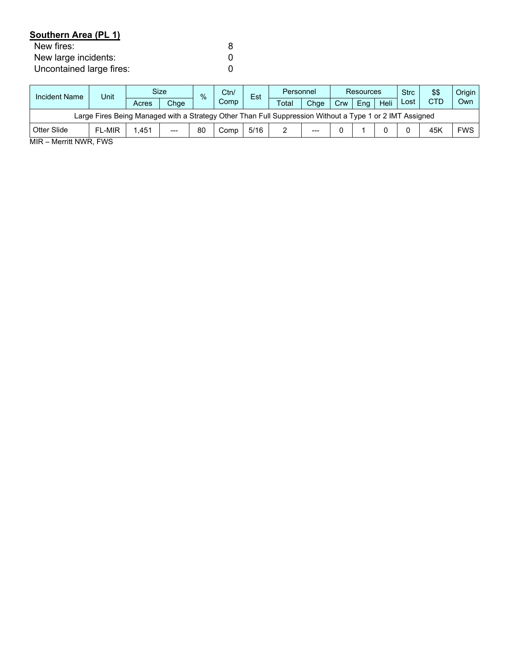# **Southern Area (PL 1)**

| New fires:               |  |
|--------------------------|--|
| New large incidents:     |  |
| Uncontained large fires: |  |

| <b>Incident Name</b>                                                                                     | Unit          |       | <b>Size</b> |    | Ctn/<br>$\frac{0}{6}$<br>Comp |      | Personnel |                        | <b>Resources</b> |     |      | <b>Strc</b> | \$\$       | Origin     |
|----------------------------------------------------------------------------------------------------------|---------------|-------|-------------|----|-------------------------------|------|-----------|------------------------|------------------|-----|------|-------------|------------|------------|
|                                                                                                          |               | Acres | Chqe        |    |                               |      | Total     | Chae                   | Crw              | Ena | Heli | Lost        | <b>CTD</b> | Own        |
| Large Fires Being Managed with a Strategy Other Than Full Suppression Without a Type 1 or 2 IMT Assigned |               |       |             |    |                               |      |           |                        |                  |     |      |             |            |            |
| Otter Slide                                                                                              | <b>FL-MIR</b> | .451  | $---$       | 80 | Comp                          | 5/16 | ∼         | $\qquad \qquad \cdots$ |                  |     |      |             | 45K        | <b>FWS</b> |

MIR – Merritt NWR, FWS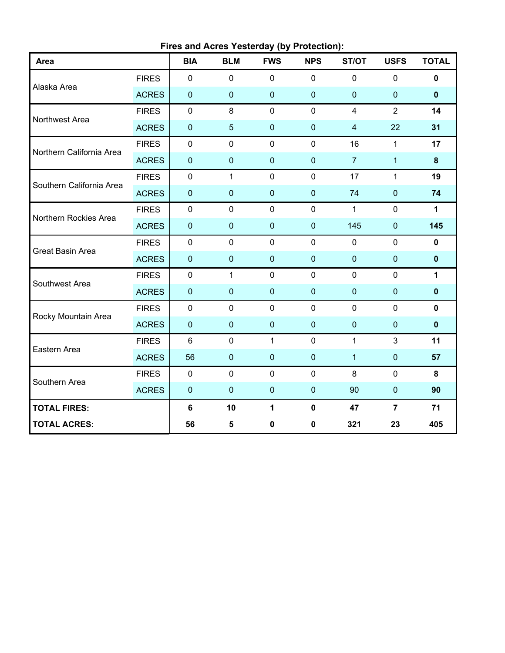|                          |              |                | Fires and Acres Yesterday (by Protection): |              |             |                |                |              |
|--------------------------|--------------|----------------|--------------------------------------------|--------------|-------------|----------------|----------------|--------------|
| Area                     |              | <b>BIA</b>     | <b>BLM</b>                                 | <b>FWS</b>   | <b>NPS</b>  | ST/OT          | <b>USFS</b>    | <b>TOTAL</b> |
|                          | <b>FIRES</b> | $\mathbf 0$    | $\mathbf 0$                                | $\mathbf 0$  | $\mathbf 0$ | $\mathbf 0$    | 0              | $\mathbf 0$  |
| Alaska Area              | <b>ACRES</b> | $\pmb{0}$      | $\mathbf 0$                                | $\pmb{0}$    | $\mathbf 0$ | $\mathbf 0$    | $\pmb{0}$      | $\mathbf 0$  |
|                          | <b>FIRES</b> | $\mathbf 0$    | 8                                          | $\mathbf 0$  | $\mathbf 0$ | $\overline{4}$ | $\overline{2}$ | 14           |
| Northwest Area           | <b>ACRES</b> | $\pmb{0}$      | 5                                          | $\mathbf 0$  | $\mathbf 0$ | $\overline{4}$ | 22             | 31           |
| Northern California Area | <b>FIRES</b> | $\mathbf 0$    | $\mathbf 0$                                | $\mathbf 0$  | $\mathbf 0$ | 16             | $\mathbf{1}$   | 17           |
|                          | <b>ACRES</b> | $\pmb{0}$      | $\mathbf 0$                                | $\mathbf 0$  | $\mathbf 0$ | $\overline{7}$ | $\mathbf{1}$   | $\bf{8}$     |
| Southern California Area | <b>FIRES</b> | $\pmb{0}$      | $\mathbf{1}$                               | $\mathbf 0$  | $\mathbf 0$ | 17             | $\mathbf{1}$   | 19           |
|                          | <b>ACRES</b> | $\pmb{0}$      | $\mathbf 0$                                | $\pmb{0}$    | $\mathbf 0$ | 74             | $\pmb{0}$      | 74           |
| Northern Rockies Area    | <b>FIRES</b> | $\pmb{0}$      | $\mathbf 0$                                | $\pmb{0}$    | $\mathbf 0$ | $\mathbf{1}$   | $\pmb{0}$      | $\mathbf{1}$ |
|                          | <b>ACRES</b> | $\pmb{0}$      | $\mathbf 0$                                | $\mathbf 0$  | $\mathbf 0$ | 145            | $\mathbf 0$    | 145          |
| <b>Great Basin Area</b>  | <b>FIRES</b> | $\mathbf 0$    | $\mathbf 0$                                | $\mathbf 0$  | $\mathbf 0$ | $\mathbf 0$    | 0              | $\mathbf 0$  |
|                          | <b>ACRES</b> | $\pmb{0}$      | $\mathbf 0$                                | $\pmb{0}$    | $\mathbf 0$ | $\mathbf{0}$   | $\pmb{0}$      | $\pmb{0}$    |
| Southwest Area           | <b>FIRES</b> | $\mathbf 0$    | $\mathbf{1}$                               | $\mathbf 0$  | $\mathbf 0$ | $\mathbf 0$    | $\mathbf 0$    | $\mathbf{1}$ |
|                          | <b>ACRES</b> | $\pmb{0}$      | $\mathbf 0$                                | $\pmb{0}$    | $\mathbf 0$ | $\mathbf{0}$   | $\pmb{0}$      | $\mathbf 0$  |
| Rocky Mountain Area      | <b>FIRES</b> | $\pmb{0}$      | $\mathbf 0$                                | $\mathbf 0$  | $\mathbf 0$ | $\overline{0}$ | 0              | $\mathbf 0$  |
|                          | <b>ACRES</b> | $\pmb{0}$      | $\mathbf 0$                                | $\mathbf 0$  | $\mathbf 0$ | $\mathbf 0$    | $\mathbf 0$    | $\mathbf 0$  |
|                          | <b>FIRES</b> | $6\phantom{1}$ | $\mathbf 0$                                | $\mathbf{1}$ | $\mathbf 0$ | $\mathbf{1}$   | 3              | 11           |
| Eastern Area             | <b>ACRES</b> | 56             | $\mathbf 0$                                | $\mathbf 0$  | $\mathbf 0$ | $\overline{1}$ | $\pmb{0}$      | 57           |
| Southern Area            | <b>FIRES</b> | $\mathbf 0$    | $\mathbf 0$                                | $\mathbf 0$  | $\mathbf 0$ | 8              | 0              | 8            |
|                          | <b>ACRES</b> | $\pmb{0}$      | $\mathbf 0$                                | $\pmb{0}$    | $\mathbf 0$ | 90             | $\pmb{0}$      | 90           |
| <b>TOTAL FIRES:</b>      |              | $\bf 6$        | 10                                         | 1            | $\mathbf 0$ | 47             | $\overline{7}$ | 71           |
| <b>TOTAL ACRES:</b>      |              | 56             | 5                                          | $\bf{0}$     | 0           | 321            | 23             | 405          |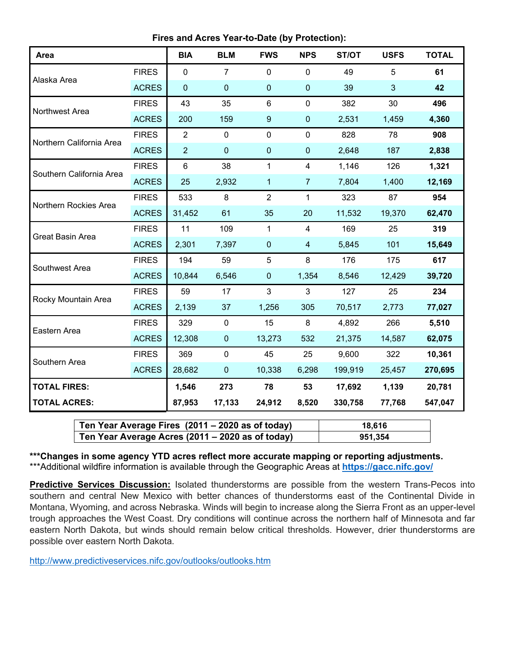**Fires and Acres Year-to-Date (by Protection):**

| Area                     |              | <b>BIA</b>     | <b>BLM</b>     | <b>FWS</b>       | <b>NPS</b>       | ST/OT   | <b>USFS</b> | <b>TOTAL</b> |
|--------------------------|--------------|----------------|----------------|------------------|------------------|---------|-------------|--------------|
| Alaska Area              | <b>FIRES</b> | $\overline{0}$ | $\overline{7}$ | $\overline{0}$   | $\mathbf 0$      | 49      | 5           | 61           |
|                          | <b>ACRES</b> | $\mathbf 0$    | $\mathbf 0$    | $\pmb{0}$        | $\boldsymbol{0}$ | 39      | 3           | 42           |
| Northwest Area           | <b>FIRES</b> | 43             | 35             | 6                | $\mathbf 0$      | 382     | 30          | 496          |
|                          | <b>ACRES</b> | 200            | 159            | $\boldsymbol{9}$ | $\pmb{0}$        | 2,531   | 1,459       | 4,360        |
| Northern California Area | <b>FIRES</b> | $\overline{2}$ | $\mathbf 0$    | $\mathbf 0$      | $\mathbf 0$      | 828     | 78          | 908          |
|                          | <b>ACRES</b> | $\overline{2}$ | $\mathbf 0$    | $\mathbf 0$      | $\mathbf 0$      | 2,648   | 187         | 2,838        |
| Southern California Area | <b>FIRES</b> | $6\phantom{1}$ | 38             | 1                | 4                | 1,146   | 126         | 1,321        |
|                          | <b>ACRES</b> | 25             | 2,932          | 1                | $\overline{7}$   | 7,804   | 1,400       | 12,169       |
| Northern Rockies Area    | <b>FIRES</b> | 533            | 8              | $\overline{2}$   | $\mathbf{1}$     | 323     | 87          | 954          |
|                          | <b>ACRES</b> | 31,452         | 61             | 35               | 20               | 11,532  | 19,370      | 62,470       |
| Great Basin Area         | <b>FIRES</b> | 11             | 109            | $\mathbf{1}$     | $\overline{4}$   | 169     | 25          | 319          |
|                          | <b>ACRES</b> | 2,301          | 7,397          | $\mathbf 0$      | $\overline{4}$   | 5,845   | 101         | 15,649       |
| Southwest Area           | <b>FIRES</b> | 194            | 59             | 5                | 8                | 176     | 175         | 617          |
|                          | <b>ACRES</b> | 10,844         | 6,546          | $\mathbf 0$      | 1,354            | 8,546   | 12,429      | 39,720       |
| Rocky Mountain Area      | <b>FIRES</b> | 59             | 17             | 3                | 3                | 127     | 25          | 234          |
|                          | <b>ACRES</b> | 2,139          | 37             | 1,256            | 305              | 70,517  | 2,773       | 77,027       |
| Eastern Area             | <b>FIRES</b> | 329            | $\mathbf 0$    | 15               | 8                | 4,892   | 266         | 5,510        |
|                          | <b>ACRES</b> | 12,308         | $\mathbf 0$    | 13,273           | 532              | 21,375  | 14,587      | 62,075       |
| Southern Area            | <b>FIRES</b> | 369            | $\mathbf 0$    | 45               | 25               | 9,600   | 322         | 10,361       |
|                          | <b>ACRES</b> | 28,682         | $\mathbf 0$    | 10,338           | 6,298            | 199,919 | 25,457      | 270,695      |
| <b>TOTAL FIRES:</b>      |              | 1,546          | 273            | 78               | 53               | 17,692  | 1,139       | 20,781       |
| <b>TOTAL ACRES:</b>      |              | 87,953         | 17,133         | 24,912           | 8,520            | 330,758 | 77,768      | 547,047      |

| Ten Year Average Fires (2011 – 2020 as of today) | 18.616  |
|--------------------------------------------------|---------|
| Ten Year Average Acres (2011 – 2020 as of today) | 951,354 |

**\*\*\*Changes in some agency YTD acres reflect more accurate mapping or reporting adjustments.** \*\*\*Additional wildfire information is available through the Geographic Areas at **<https://gacc.nifc.gov/>**

**Predictive Services Discussion:** Isolated thunderstorms are possible from the western Trans-Pecos into southern and central New Mexico with better chances of thunderstorms east of the Continental Divide in Montana, Wyoming, and across Nebraska. Winds will begin to increase along the Sierra Front as an upper-level trough approaches the West Coast. Dry conditions will continue across the northern half of Minnesota and far eastern North Dakota, but winds should remain below critical thresholds. However, drier thunderstorms are possible over eastern North Dakota.

<http://www.predictiveservices.nifc.gov/outlooks/outlooks.htm>